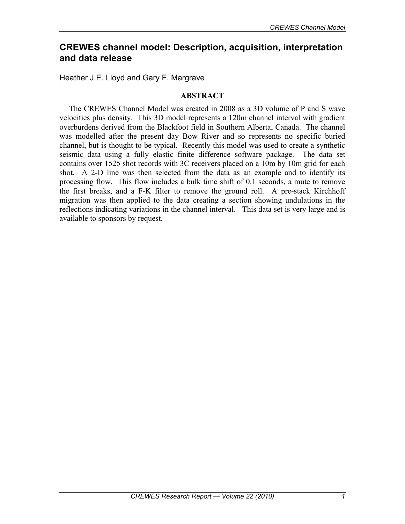# **CREWES channel model: Description, acquisition, interpretation and data release**

Heather J.E. Lloyd and Gary F. Margrave

# **ABSTRACT**

The CREWES Channel Model was created in 2008 as a 3D volume of P and S wave velocities plus density. This 3D model represents a 120m channel interval with gradient overburdens derived from the Blackfoot field in Southern Alberta, Canada. The channel was modelled after the present day Bow River and so represents no specific buried channel, but is thought to be typical. Recently this model was used to create a synthetic seismic data using a fully elastic finite difference software package. The data set contains over 1525 shot records with 3C receivers placed on a 10m by 10m grid for each shot. A 2-D line was then selected from the data as an example and to identify its processing flow. This flow includes a bulk time shift of 0.1 seconds, a mute to remove the first breaks, and a F-K filter to remove the ground roll. A pre-stack Kirchhoff migration was then applied to the data creating a section showing undulations in the reflections indicating variations in the channel interval. This data set is very large and is available to sponsors by request.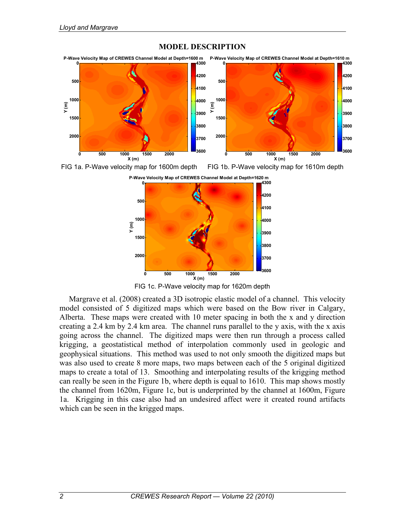

### **MODEL DESCRIPTION**





FIG 1c. P-Wave velocity map for 1620m depth

Margrave et al. (2008) created a 3D isotropic elastic model of a channel. This velocity model consisted of 5 digitized maps which were based on the Bow river in Calgary, Alberta. These maps were created with 10 meter spacing in both the x and y direction creating a 2.4 km by 2.4 km area. The channel runs parallel to the y axis, with the x axis going across the channel. The digitized maps were then run through a process called krigging, a geostatistical method of interpolation commonly used in geologic and geophysical situations. This method was used to not only smooth the digitized maps but was also used to create 8 more maps, two maps between each of the 5 original digitized maps to create a total of 13. Smoothing and interpolating results of the krigging method can really be seen in the Figure 1b, where depth is equal to 1610. This map shows mostly the channel from 1620m, Figure 1c, but is underprinted by the channel at 1600m, Figure 1a. Krigging in this case also had an undesired affect were it created round artifacts which can be seen in the krigged maps.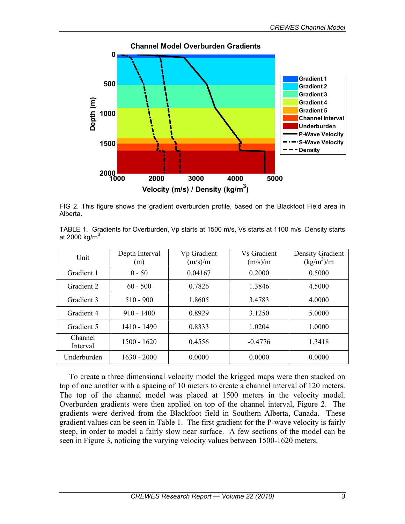

FIG 2. This figure shows the gradient overburden profile, based on the Blackfoot Field area in Alberta.

TABLE 1. Gradients for Overburden, Vp starts at 1500 m/s, Vs starts at 1100 m/s, Density starts at 2000 kg/m $^3$ .

| Unit                | Depth Interval<br>(m) | Vp Gradient<br>(m/s)/m | <b>Vs Gradient</b><br>(m/s)/m | Density Gradient<br>(kg/m <sup>3</sup> )/m |
|---------------------|-----------------------|------------------------|-------------------------------|--------------------------------------------|
| Gradient 1          | $0 - 50$              | 0.04167                | 0.2000                        | 0.5000                                     |
| Gradient 2          | $60 - 500$            | 0.7826                 | 1.3846                        | 4.5000                                     |
| Gradient 3          | $510 - 900$           | 1.8605                 | 3.4783                        | 4.0000                                     |
| Gradient 4          | $910 - 1400$          | 0.8929                 | 3.1250                        | 5.0000                                     |
| Gradient 5          | 1410 - 1490           | 0.8333                 | 1.0204                        | 1.0000                                     |
| Channel<br>Interval | $1500 - 1620$         | 0.4556                 | $-0.4776$                     | 1.3418                                     |
| Underburden         | $1630 - 2000$         | 0.0000                 | 0.0000                        | 0.0000                                     |

To create a three dimensional velocity model the krigged maps were then stacked on top of one another with a spacing of 10 meters to create a channel interval of 120 meters. The top of the channel model was placed at 1500 meters in the velocity model. Overburden gradients were then applied on top of the channel interval, Figure 2. The gradients were derived from the Blackfoot field in Southern Alberta, Canada. These gradient values can be seen in Table 1. The first gradient for the P-wave velocity is fairly steep, in order to model a fairly slow near surface. A few sections of the model can be seen in Figure 3, noticing the varying velocity values between 1500-1620 meters.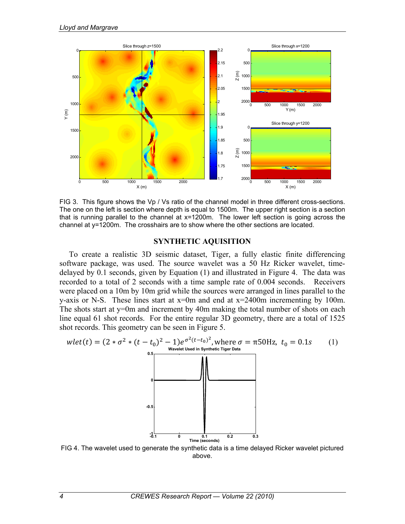

FIG 3. This figure shows the Vp / Vs ratio of the channel model in three different cross-sections. The one on the left is section where depth is equal to 1500m. The upper right section is a section that is running parallel to the channel at x=1200m. The lower left section is going across the channel at y=1200m. The crosshairs are to show where the other sections are located.

#### **SYNTHETIC AQUISITION**

To create a realistic 3D seismic dataset, Tiger, a fully elastic finite differencing software package, was used. The source wavelet was a 50 Hz Ricker wavelet, timedelayed by 0.1 seconds, given by Equation (1) and illustrated in Figure 4. The data was recorded to a total of 2 seconds with a time sample rate of 0.004 seconds. Receivers were placed on a 10m by 10m grid while the sources were arranged in lines parallel to the y-axis or N-S. These lines start at  $x=0$ m and end at  $x=2400$ m incrementing by 100m. The shots start at y=0m and increment by 40m making the total number of shots on each line equal 61 shot records. For the entire regular 3D geometry, there are a total of 1525 shot records. This geometry can be seen in Figure 5.



FIG 4. The wavelet used to generate the synthetic data is a time delayed Ricker wavelet pictured above.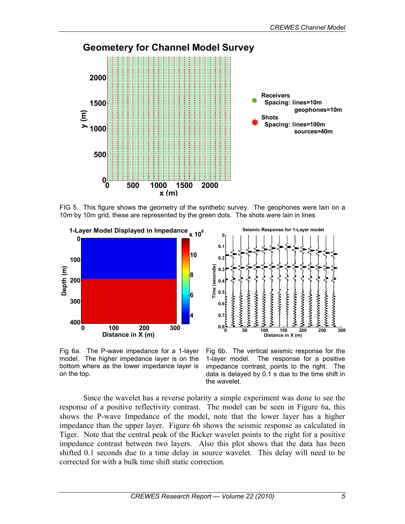

FIG 5. This figure shows the geometry of the synthetic survey. The geophones were lain on a 10m by 10m grid, these are represented by the green dots. The shots were lain in lines





Fig 6a. The P-wave impedance for a 1-layer model. The higher impedance layer is on the bottom where as the lower impedance layer is on the top.

Fig 6b. The vertical seismic response for the 1-layer model. The response for a positive impedance contrast, points to the right. The data is delayed by 0.1 s due to the time shift in the wavelet.

 Since the wavelet has a reverse polarity a simple experiment was done to see the response of a positive reflectivity contrast. The model can be seen in Figure 6a, this shows the P-wave Impedance of the model, note that the lower layer has a higher impedance than the upper layer. Figure 6b shows the seismic response as calculated in Tiger. Note that the central peak of the Ricker wavelet points to the right for a positive impedance contrast between two layers. Also this plot shows that the data has been shifted 0.1 seconds due to a time delay in source wavelet. This delay will need to be corrected for with a bulk time shift static correction.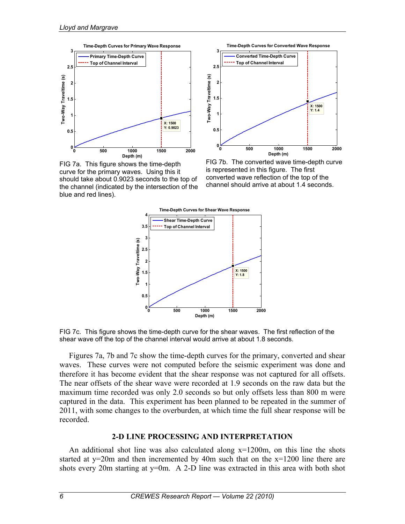

FIG 7a. This figure shows the time-depth curve for the primary waves. Using this it should take about 0.9023 seconds to the top of the channel (indicated by the intersection of the blue and red lines).



FIG 7b. The converted wave time-depth curve is represented in this figure. The first converted wave reflection of the top of the channel should arrive at about 1.4 seconds.



FIG 7c. This figure shows the time-depth curve for the shear waves. The first reflection of the shear wave off the top of the channel interval would arrive at about 1.8 seconds.

Figures 7a, 7b and 7c show the time-depth curves for the primary, converted and shear waves. These curves were not computed before the seismic experiment was done and therefore it has become evident that the shear response was not captured for all offsets. The near offsets of the shear wave were recorded at 1.9 seconds on the raw data but the maximum time recorded was only 2.0 seconds so but only offsets less than 800 m were captured in the data. This experiment has been planned to be repeated in the summer of 2011, with some changes to the overburden, at which time the full shear response will be recorded.

# **2-D LINE PROCESSING AND INTERPRETATION**

An additional shot line was also calculated along  $x=1200m$ , on this line the shots started at y=20m and then incremented by 40m such that on the x=1200 line there are shots every 20m starting at y=0m. A 2-D line was extracted in this area with both shot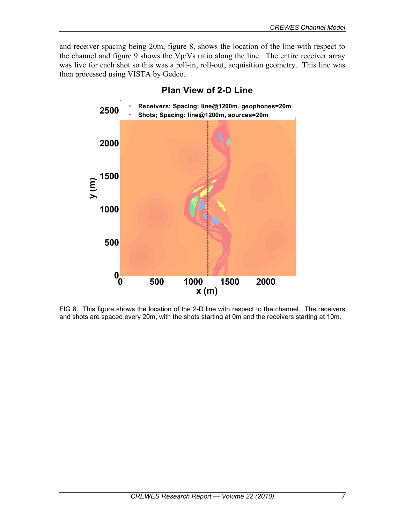and receiver spacing being 20m, figure 8, shows the location of the line with respect to the channel and figure 9 shows the Vp/Vs ratio along the line. The entire receiver array was live for each shot so this was a roll-in, roll-out, acquisition geometry. This line was then processed using VISTA by Gedco.



**Plan View of 2-D Line**

FIG 8. This figure shows the location of the 2-D line with respect to the channel. The receivers and shots are spaced every 20m, with the shots starting at 0m and the receivers starting at 10m.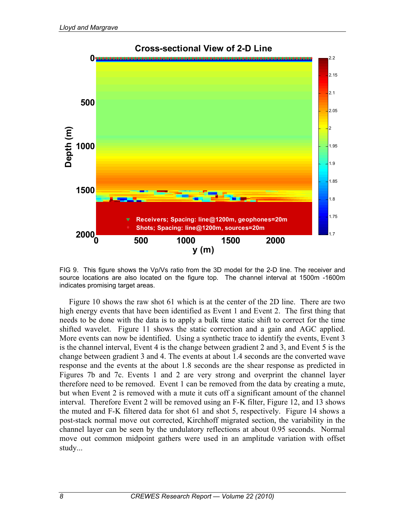

FIG 9. This figure shows the Vp/Vs ratio from the 3D model for the 2-D line. The receiver and source locations are also located on the figure top. The channel interval at 1500m -1600m indicates promising target areas.

Figure 10 shows the raw shot 61 which is at the center of the 2D line. There are two high energy events that have been identified as Event 1 and Event 2. The first thing that needs to be done with the data is to apply a bulk time static shift to correct for the time shifted wavelet. Figure 11 shows the static correction and a gain and AGC applied. More events can now be identified. Using a synthetic trace to identify the events, Event 3 is the channel interval, Event 4 is the change between gradient 2 and 3, and Event 5 is the change between gradient 3 and 4. The events at about 1.4 seconds are the converted wave response and the events at the about 1.8 seconds are the shear response as predicted in Figures 7b and 7c. Events 1 and 2 are very strong and overprint the channel layer therefore need to be removed. Event 1 can be removed from the data by creating a mute, but when Event 2 is removed with a mute it cuts off a significant amount of the channel interval. Therefore Event 2 will be removed using an F-K filter, Figure 12, and 13 shows the muted and F-K filtered data for shot 61 and shot 5, respectively. Figure 14 shows a post-stack normal move out corrected, Kirchhoff migrated section, the variability in the channel layer can be seen by the undulatory reflections at about 0.95 seconds. Normal move out common midpoint gathers were used in an amplitude variation with offset study...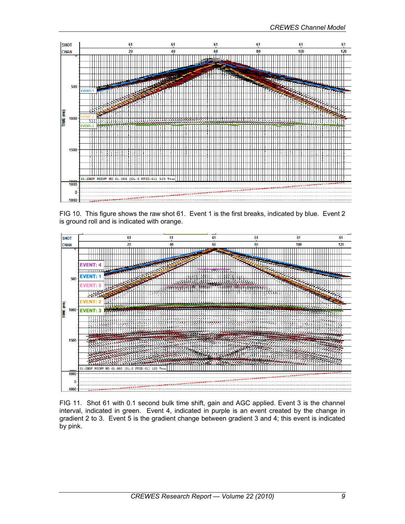

FIG 10. This figure shows the raw shot 61. Event 1 is the first breaks, indicated by blue. Event 2 is ground roll and is indicated with orange.



FIG 11. Shot 61 with 0.1 second bulk time shift, gain and AGC applied. Event 3 is the channel interval, indicated in green. Event 4, indicated in purple is an event created by the change in gradient 2 to 3. Event 5 is the gradient change between gradient 3 and 4; this event is indicated by pink.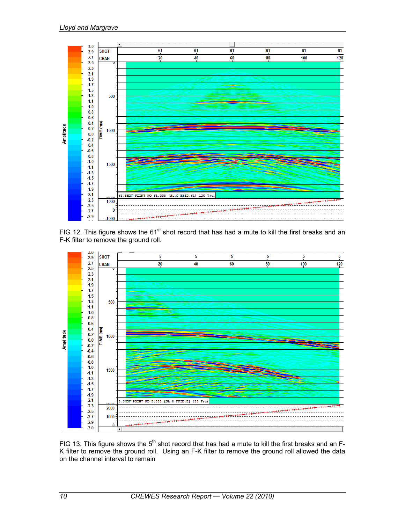

FIG 12. This figure shows the 61<sup>st</sup> shot record that has had a mute to kill the first breaks and an F-K filter to remove the ground roll.



FIG 13. This figure shows the 5<sup>th</sup> shot record that has had a mute to kill the first breaks and an F-K filter to remove the ground roll. Using an F-K filter to remove the ground roll allowed the data on the channel interval to remain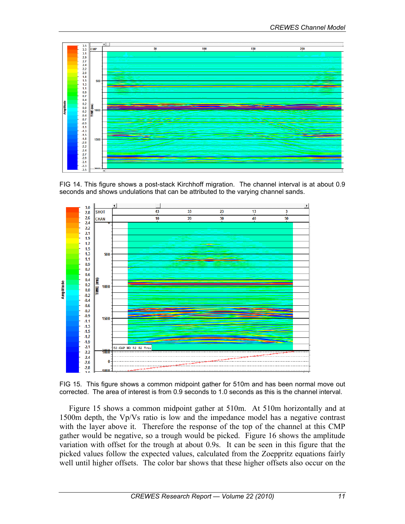

FIG 14. This figure shows a post-stack Kirchhoff migration. The channel interval is at about 0.9 seconds and shows undulations that can be attributed to the varying channel sands.



FIG 15. This figure shows a common midpoint gather for 510m and has been normal move out corrected. The area of interest is from 0.9 seconds to 1.0 seconds as this is the channel interval.

Figure 15 shows a common midpoint gather at 510m. At 510m horizontally and at 1500m depth, the Vp/Vs ratio is low and the impedance model has a negative contrast with the layer above it. Therefore the response of the top of the channel at this CMP gather would be negative, so a trough would be picked. Figure 16 shows the amplitude variation with offset for the trough at about 0.9s. It can be seen in this figure that the picked values follow the expected values, calculated from the Zoeppritz equations fairly well until higher offsets. The color bar shows that these higher offsets also occur on the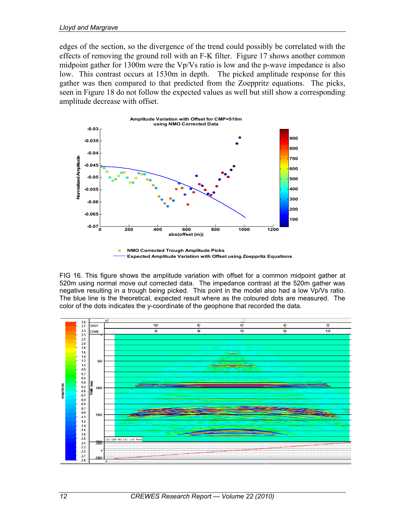edges of the section, so the divergence of the trend could possibly be correlated with the effects of removing the ground roll with an F-K filter. Figure 17 shows another common midpoint gather for 1300m were the Vp/Vs ratio is low and the p-wave impedance is also low. This contrast occurs at 1530m in depth. The picked amplitude response for this gather was then compared to that predicted from the Zoeppritz equations. The picks, seen in Figure 18 do not follow the expected values as well but still show a corresponding amplitude decrease with offset.



FIG 16. This figure shows the amplitude variation with offset for a common midpoint gather at 520m using normal move out corrected data. The impedance contrast at the 520m gather was negative resulting in a trough being picked. This point in the model also had a low Vp/Vs ratio. The blue line is the theoretical, expected result where as the coloured dots are measured. The color of the dots indicates the y-coordinate of the geophone that recorded the data.